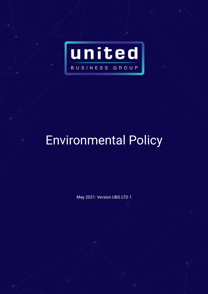

## Environmental Policy

May 2021: Version UBG LTD 1